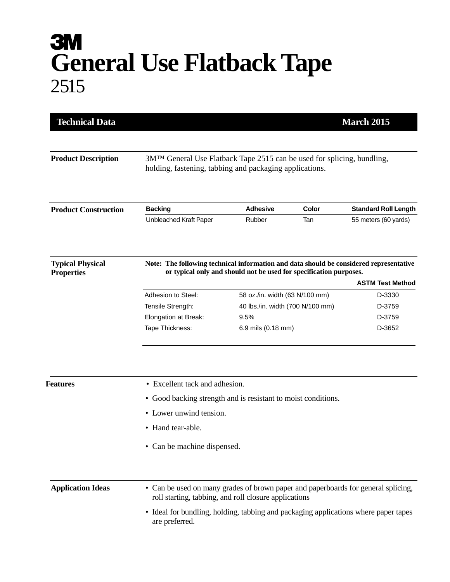## **3M General Use Flatback Tape** 2515

| <b>Technical Data</b>                        |                                                                                                                                                                                         |                                  |              | <b>March 2015</b>                                   |
|----------------------------------------------|-----------------------------------------------------------------------------------------------------------------------------------------------------------------------------------------|----------------------------------|--------------|-----------------------------------------------------|
| <b>Product Description</b>                   | 3M™ General Use Flatback Tape 2515 can be used for splicing, bundling,<br>holding, fastening, tabbing and packaging applications.                                                       |                                  |              |                                                     |
|                                              |                                                                                                                                                                                         |                                  |              |                                                     |
| <b>Product Construction</b>                  | <b>Backing</b><br>Unbleached Kraft Paper                                                                                                                                                | <b>Adhesive</b><br>Rubber        | Color<br>Tan | <b>Standard Roll Length</b><br>55 meters (60 yards) |
|                                              |                                                                                                                                                                                         |                                  |              |                                                     |
| <b>Typical Physical</b><br><b>Properties</b> | Note: The following technical information and data should be considered representative<br>or typical only and should not be used for specification purposes.<br><b>ASTM Test Method</b> |                                  |              |                                                     |
|                                              | Adhesion to Steel:                                                                                                                                                                      | 58 oz./in. width (63 N/100 mm)   |              | D-3330                                              |
|                                              | Tensile Strength:                                                                                                                                                                       | 40 lbs./in. width (700 N/100 mm) |              | D-3759                                              |
|                                              | Elongation at Break:                                                                                                                                                                    | 9.5%                             |              | D-3759                                              |
|                                              | Tape Thickness:                                                                                                                                                                         | 6.9 mils (0.18 mm)               |              | D-3652                                              |
| Features                                     | • Excellent tack and adhesion.<br>• Good backing strength and is resistant to moist conditions.                                                                                         |                                  |              |                                                     |
|                                              | • Lower unwind tension.                                                                                                                                                                 |                                  |              |                                                     |
|                                              | • Hand tear-able.                                                                                                                                                                       |                                  |              |                                                     |
|                                              | Can be machine dispensed.                                                                                                                                                               |                                  |              |                                                     |
| <b>Application Ideas</b>                     | • Can be used on many grades of brown paper and paperboards for general splicing,<br>roll starting, tabbing, and roll closure applications                                              |                                  |              |                                                     |
|                                              | • Ideal for bundling, holding, tabbing and packaging applications where paper tapes<br>are preferred.                                                                                   |                                  |              |                                                     |